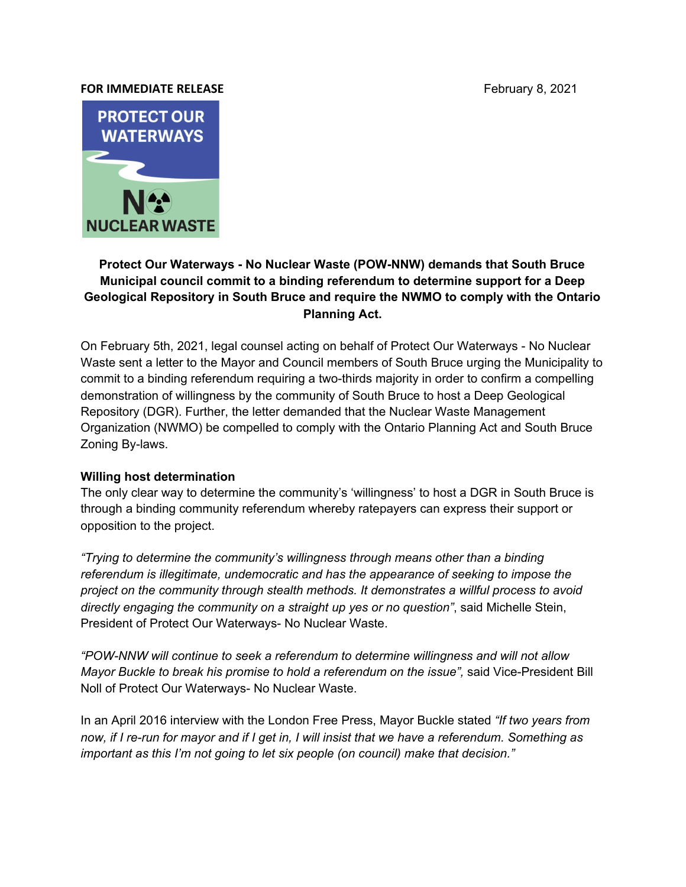## **FOR IMMEDIATE RELEASE FOR IMMEDIATE RELEASE**



## **Protect Our Waterways - No Nuclear Waste (POW-NNW) demands that South Bruce Municipal council commit to a binding referendum to determine support for a Deep Geological Repository in South Bruce and require the NWMO to comply with the Ontario Planning Act.**

On February 5th, 2021, legal counsel acting on behalf of Protect Our Waterways - No Nuclear Waste sent a letter to the Mayor and Council members of South Bruce urging the Municipality to commit to a binding referendum requiring a two-thirds majority in order to confirm a compelling demonstration of willingness by the community of South Bruce to host a Deep Geological Repository (DGR). Further, the letter demanded that the Nuclear Waste Management Organization (NWMO) be compelled to comply with the Ontario Planning Act and South Bruce Zoning By-laws.

## **Willing host determination**

The only clear way to determine the community's 'willingness' to host a DGR in South Bruce is through a binding community referendum whereby ratepayers can express their support or opposition to the project.

*"Trying to determine the community's willingness through means other than a binding referendum is illegitimate, undemocratic and has the appearance of seeking to impose the project on the community through stealth methods. It demonstrates a willful process to avoid directly engaging the community on a straight up yes or no question"*, said Michelle Stein, President of Protect Our Waterways- No Nuclear Waste.

*"POW-NNW will continue to seek a referendum to determine willingness and will not allow Mayor Buckle to break his promise to hold a referendum on the issue",* said Vice-President Bill Noll of Protect Our Waterways- No Nuclear Waste.

In an April 2016 interview with the London Free Press, Mayor Buckle stated *"If two years from* now, if I re-run for mayor and if I get in, I will insist that we have a referendum. Something as *important as this I'm not going to let six people (on council) make that decision."*